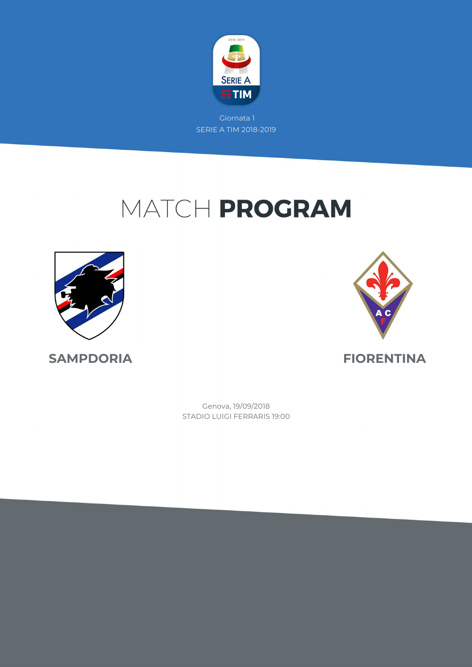

# MATCH PROGRAM





STADIO LUIGI FERRARIS 19:00 Genova, 19/09/2018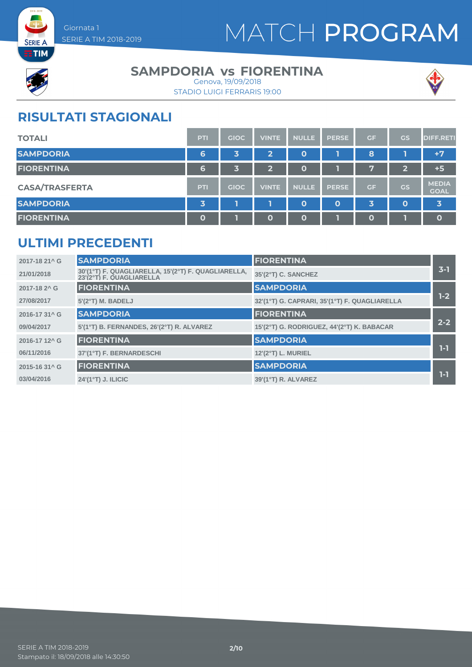



#### **SAMPDORIA vs FIORENTINA**





### **RISULTATI STAGIONALI**

| <b>TOTALI</b>         | <b>PTI</b>  | <b>GIOC</b> | <b>VINTE</b>            | <b>NULLE</b> | <b>PERSE</b> | <b>GF</b>    | <b>GS</b>      | <b>DIFF.RETI</b>            |
|-----------------------|-------------|-------------|-------------------------|--------------|--------------|--------------|----------------|-----------------------------|
| <b>SAMPDORIA</b>      | 6           | 3           | $\overline{\mathbf{2}}$ | 0            |              | 8            |                | $+7$                        |
| <b>FIORENTINA</b>     | 6           | 3           | $\overline{2}$          | 0            |              | 97           | $\overline{2}$ | $+5$                        |
| <b>CASA/TRASFERTA</b> | <b>PTI</b>  | <b>GIOC</b> | <b>VINTE</b>            | <b>NULLE</b> | <b>PERSE</b> | <b>GF</b>    | <b>GS</b>      | <b>MEDIA</b><br><b>GOAL</b> |
| <b>SAMPDORIA</b>      | 3           |             |                         | O            | $\mathbf{o}$ | 3            | $\mathbf 0$    | 3                           |
| <b>FIORENTINA</b>     | $\mathbf 0$ |             | $\mathbf 0$             | O            |              | $\mathbf{o}$ |                | $\mathbf{o}$                |

#### **ULTIMI PRECEDENTI**

| 2017-18 21^ G             | <b>SAMPDORIA</b>                                                                | <b>FIORENTINA</b>                             |         |
|---------------------------|---------------------------------------------------------------------------------|-----------------------------------------------|---------|
| 21/01/2018                | 30'(1°T) F. QUAGLIARELLA, 15'(2°T) F. QUAGLIARELLA,<br>23'(2°T) F. QUAGLIARELLA | 35'(2°T) C. SANCHEZ                           | $3 - 1$ |
| 2017-18 2 <sup>^</sup> G  | <b>FIORENTINA</b>                                                               | <b>SAMPDORIA</b>                              |         |
| 27/08/2017                | 5'(2°T) M. BADELJ                                                               | 32'(1°T) G. CAPRARI, 35'(1°T) F. QUAGLIARELLA | $1-2$   |
| 2016-17 31^ G             | <b>SAMPDORIA</b>                                                                | <b>FIORENTINA</b>                             |         |
| 09/04/2017                | 5'(1°T) B. FERNANDES, 26'(2°T) R. ALVAREZ                                       | 15'(2°T) G. RODRIGUEZ, 44'(2°T) K. BABACAR    | $2 - 2$ |
| 2016-17 12 <sup>^</sup> G | <b>FIORENTINA</b>                                                               | <b>SAMPDORIA</b>                              |         |
| 06/11/2016                | 37'(1°T) F. BERNARDESCHI                                                        | 12'(2°T) L. MURIEL                            | $1-1$   |
| 2015-16 31^ G             | <b>FIORENTINA</b>                                                               | <b>SAMPDORIA</b>                              |         |
| 03/04/2016                | 24'(1°T) J. ILICIC                                                              | 39'(1°T) R. ALVAREZ                           | 1-1     |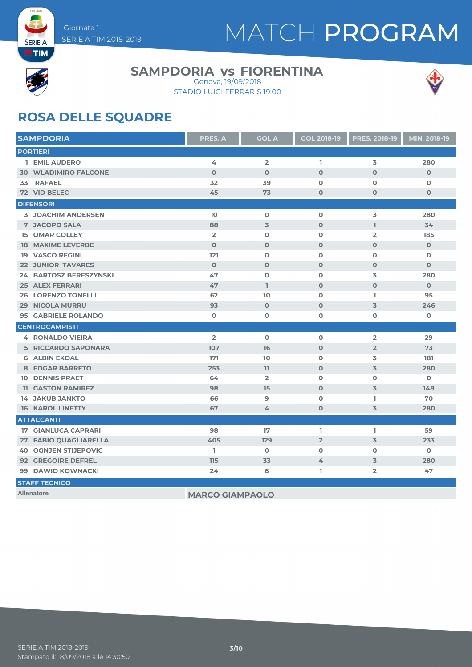



 $ETIM$ 

#### **SAMPDORIA vs FIORENTINA**

STADIO LUIGI FERRARIS 19:00 Genova, 19/09/2018



#### **ROSA DELLE SQUADRE**

| <b>SAMPDORIA</b>                              | PRES. A                | <b>GOL A</b>   | <b>GOL 2018-19</b> | <b>PRES. 2018-19</b> | MIN. 2018-19 |
|-----------------------------------------------|------------------------|----------------|--------------------|----------------------|--------------|
| <b>PORTIERI</b>                               |                        |                |                    |                      |              |
| 1 EMIL AUDERO                                 | 4                      | $\overline{2}$ | L.                 | 3                    | 280          |
| <b>30 WLADIMIRO FALCONE</b>                   | $\mathbf 0$            | $\mathbf 0$    | $\mathbf{O}$       | $\mathbf 0$          | $\mathbf 0$  |
| <b>RAFAEL</b><br>33                           | 32                     | 39             | $\Omega$           | $\Omega$             | $\mathbf 0$  |
| 72 VID BELEC                                  | 45                     | 73             | $\mathbf{o}$       | $\mathbf{o}$         | $\mathbf 0$  |
| <b>DIFENSORI</b>                              |                        |                |                    |                      |              |
| <b>3 JOACHIM ANDERSEN</b>                     | 10                     | $\mathbf 0$    | $\mathbf 0$        | 3                    | 280          |
| <b>7 JACOPO SALA</b>                          | 88                     | $\overline{3}$ | $\mathbf 0$        | $\mathbb{I}$         | 34           |
| <b>15 OMAR COLLEY</b>                         | $\overline{2}$         | $\mathbf 0$    | $\mathbf 0$        | $\overline{2}$       | 185          |
| <b>18 MAXIME LEVERBE</b>                      | $\Omega$               | $\Omega$       | $\Omega$           | $\Omega$             | $\mathbf 0$  |
| <b>19 VASCO REGINI</b>                        | 121                    | $\mathbf 0$    | $\mathbf 0$        | $\mathbf o$          | $\mathbf 0$  |
| <b>22 JUNIOR TAVARES</b>                      | $\mathbf 0$            | $\mathbf 0$    | $\mathbf 0$        | $\mathbf 0$          | $\mathbf{O}$ |
| <b>BARTOSZ BERESZYNSKI</b><br>24 <sup>°</sup> | 47                     | $\mathbf 0$    | $\mathbf 0$        | 3                    | 280          |
| <b>25 ALEX FERRARI</b>                        | 47                     | $\mathbf{I}$   | $\mathbf{o}$       | $\mathbf{O}$         | $\mathbf{O}$ |
| <b>26 LORENZO TONELLI</b>                     | 62                     | 10             | $\mathbf 0$        | L.                   | 95           |
| <b>29 NICOLA MURRU</b>                        | 93                     | $\mathbf 0$    | $\mathbf 0$        | 3                    | 246          |
| <b>95 GABRIELE ROLANDO</b>                    | $\mathbf 0$            | $\mathbf 0$    | $\mathbf{o}$       | $\mathbf o$          | $\mathbf 0$  |
| <b>CENTROCAMPISTI</b>                         |                        |                |                    |                      |              |
| <b>4 RONALDO VIEIRA</b>                       | $\overline{2}$         | $\mathbf 0$    | $\mathbf 0$        | $\overline{2}$       | 29           |
| <b>5 RICCARDO SAPONARA</b>                    | 107                    | 16             | $\mathbf 0$        | $\overline{2}$       | 73           |
| <b>6 ALBIN EKDAL</b>                          | 171                    | 10             | $\mathbf 0$        | 3                    | 181          |
| <b>8 EDGAR BARRETO</b>                        | 253                    | 11             | $\mathbf{o}$       | $\overline{3}$       | 280          |
| <b>10 DENNIS PRAET</b>                        | 64                     | $\overline{2}$ | $\mathbf 0$        | $\Omega$             | $\mathbf 0$  |
| <b>11 GASTON RAMIREZ</b>                      | 98                     | 15             | $\mathbf{o}$       | 3                    | 148          |
| <b>14 JAKUB JANKTO</b>                        | 66                     | 9              | $\Omega$           | I.                   | 70           |
| <b>16 KAROL LINETTY</b>                       | 67                     | 4              | $\Omega$           | 3                    | 280          |
| <b>ATTACCANTI</b>                             |                        |                |                    |                      |              |
| <b>17 GIANLUCA CAPRARI</b>                    | 98                     | 17             | L                  | L                    | 59           |
| 27 FABIO QUAGLIARELLA                         | 405                    | 129            | $\overline{2}$     | $\mathbf 3$          | 233          |
| <b>40 OGNJEN STIJEPOVIC</b>                   | L.                     | $\mathbf 0$    | $\mathbf 0$        | $\mathbf 0$          | $\mathbf 0$  |
| <b>92 GREGOIRE DEFREL</b>                     | 115                    | 33             | 4                  | 3                    | 280          |
| 99 DAWID KOWNACKI                             | 24                     | 6              | L                  | $\overline{2}$       | 47           |
| <b>STAFF TECNICO</b>                          |                        |                |                    |                      |              |
| <b>Allenatore</b>                             | <b>MARCO GIAMPAOLO</b> |                |                    |                      |              |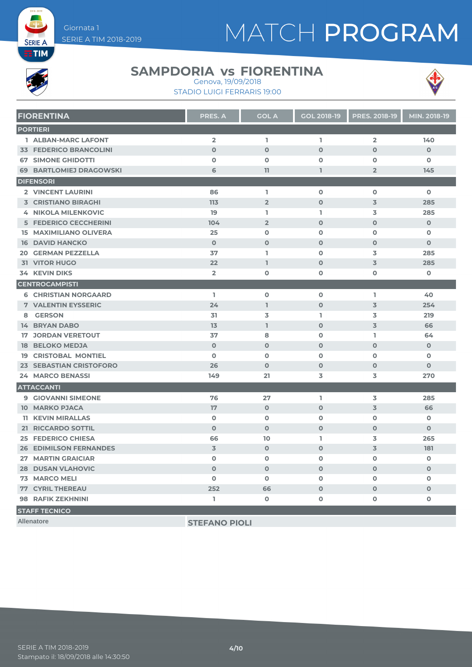# MATCH PROGRAM



**SERIE A** 

#### **SAMPDORIA vs FIORENTINA**



STADIO LUIGI FERRARIS 19:00 Genova, 19/09/2018

| <b>FIORENTINA</b>              | <b>PRES. A</b> | <b>GOL A</b>   | <b>GOL 2018-19</b> | <b>PRES. 2018-19</b> | MIN. 2018-19 |
|--------------------------------|----------------|----------------|--------------------|----------------------|--------------|
| <b>PORTIERI</b>                |                |                |                    |                      |              |
| 1 ALBAN-MARC LAFONT            | $\overline{2}$ | L.             | L                  | $\overline{2}$       | 140          |
| <b>33 FEDERICO BRANCOLINI</b>  | $\Omega$       | $\Omega$       | $\Omega$           | $\Omega$             | $\Omega$     |
| <b>67 SIMONE GHIDOTTI</b>      | $\mathbf 0$    | $\mathbf 0$    | $\mathbf 0$        | $\mathbf{o}$         | $\mathbf 0$  |
| <b>69 BARTLOMIEJ DRAGOWSKI</b> | 6              | 11             | 1                  | $\overline{2}$       | 145          |
| <b>DIFENSORI</b>               |                |                |                    |                      |              |
| <b>2 VINCENT LAURINI</b>       | 86             | T.             | $\mathbf{o}$       | $\mathbf{o}$         | $\mathbf 0$  |
| <b>3 CRISTIANO BIRAGHI</b>     | 113            | $\overline{2}$ | $\Omega$           | 3                    | 285          |
| <b>4 NIKOLA MILENKOVIC</b>     | 19             | L.             | L.                 | 3                    | 285          |
| <b>5 FEDERICO CECCHERINI</b>   | 104            | $\overline{2}$ | $\Omega$           | $\Omega$             | $\Omega$     |
| <b>15 MAXIMILIANO OLIVERA</b>  | 25             | $\mathbf 0$    | $\mathbf{O}$       | $\mathbf{o}$         | $\mathbf 0$  |
| <b>16 DAVID HANCKO</b>         | $\Omega$       | $\Omega$       | $\Omega$           | $\Omega$             | $\Omega$     |
| <b>20 GERMAN PEZZELLA</b>      | 37             | L.             | $\mathbf o$        | 3                    | 285          |
| <b>31 VITOR HUGO</b>           | 22             | L.             | $\mathbf{O}$       | $\overline{3}$       | 285          |
| <b>34 KEVIN DIKS</b>           | $\overline{2}$ | $\mathbf 0$    | $\mathbf 0$        | $\mathbf 0$          | $\mathbf 0$  |
| <b>CENTROCAMPISTI</b>          |                |                |                    |                      |              |
| <b>6 CHRISTIAN NORGAARD</b>    | L.             | $\mathbf 0$    | $\mathbf 0$        | T.                   | 40           |
| <b>7 VALENTIN EYSSERIC</b>     | 24             | I.             | $\Omega$           | 3                    | 254          |
| 8 GERSON                       | 31             | 3              | L.                 | 3                    | 219          |
| <b>14 BRYAN DABO</b>           | 13             | L.             | $\Omega$           | $\overline{3}$       | 66           |
| <b>17 JORDAN VERETOUT</b>      | 37             | 8              | $\mathbf 0$        | L.                   | 64           |
| <b>18 BELOKO MEDJA</b>         | $\Omega$       | $\Omega$       | $\Omega$           | $\Omega$             | $\Omega$     |
| <b>19 CRISTOBAL MONTIEL</b>    | $\mathbf 0$    | $\mathbf 0$    | $\mathbf 0$        | $\Omega$             | $\mathbf 0$  |
| <b>23 SEBASTIAN CRISTOFORO</b> | 26             | $\Omega$       | $\Omega$           | $\Omega$             | $\Omega$     |
| <b>24 MARCO BENASSI</b>        | 149            | 21             | 3                  | 3                    | 270          |
| <b>ATTACCANTI</b>              |                |                |                    |                      |              |
| <b>9 GIOVANNI SIMEONE</b>      | 76             | 27             | L                  | 3                    | 285          |
| <b>10 MARKO PJACA</b>          | 17             | $\Omega$       | $\Omega$           | 3                    | 66           |
| <b>11 KEVIN MIRALLAS</b>       | $\mathbf 0$    | $\mathbf 0$    | $\mathbf 0$        | $\Omega$             | $\mathbf 0$  |
| 21 RICCARDO SOTTIL             | $\Omega$       | $\Omega$       | $\Omega$           | $\Omega$             | $\Omega$     |
| <b>25 FEDERICO CHIESA</b>      | 66             | 10             | L.                 | 3                    | 265          |
| <b>26 EDIMILSON FERNANDES</b>  | $\overline{3}$ | $\Omega$       | $\Omega$           | $\overline{3}$       | 181          |
| <b>27 MARTIN GRAICIAR</b>      | $\mathbf{o}$   | $\mathbf 0$    | $\mathbf o$        | $\mathbf{o}$         | $\mathbf 0$  |
| <b>28 DUSAN VLAHOVIC</b>       | $\mathbf 0$    | $\mathbf 0$    | $\mathbf{O}$       | $\mathbf 0$          | $\mathbf{O}$ |
| <b>73 MARCO MELI</b>           | $\mathbf 0$    | $\mathbf 0$    | $\mathbf 0$        | $\mathbf{o}$         | $\mathbf 0$  |
| <b>77 CYRIL THEREAU</b>        | 252            | 66             | $\mathbf{O}$       | $\Omega$             | $\mathbf{O}$ |
| <b>98 RAFIK ZEKHNINI</b>       | I.             | $\mathbf 0$    | $\mathbf 0$        | $\mathbf{o}$         | $\mathbf 0$  |
| <b>STAFF TECNICO</b>           |                |                |                    |                      |              |

**Allenatore STEFANO PIOLI**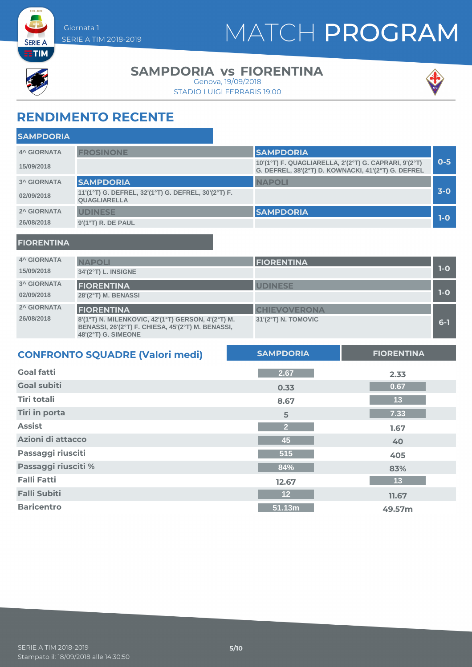



**SERIE A**  $ETIM$ 

#### **SAMPDORIA vs FIORENTINA**

STADIO LUIGI FERRARIS 19:00 Genova, 19/09/2018



### **RENDIMENTO RECENTE**

| <b>SAMPDORIA</b>   |                                                                            |                                                                                                              |         |
|--------------------|----------------------------------------------------------------------------|--------------------------------------------------------------------------------------------------------------|---------|
| <b>4^ GIORNATA</b> | <b>FROSINONE</b>                                                           | <b>SAMPDORIA</b>                                                                                             |         |
| 15/09/2018         |                                                                            | 10'(1°T) F. QUAGLIARELLA, 2'(2°T) G. CAPRARI, 9'(2°T)<br>G. DEFREL, 38'(2°T) D. KOWNACKI, 41'(2°T) G. DEFREL | $0 - 5$ |
| <b>3^ GIORNATA</b> | <b>SAMPDORIA</b>                                                           | <b>NAPOLI</b>                                                                                                |         |
| 02/09/2018         | 11'(1°T) G. DEFREL, 32'(1°T) G. DEFREL, 30'(2°T) F.<br><b>QUAGLIARELLA</b> |                                                                                                              | $3-0$   |
| 2^ GIORNATA        | <b>UDINESE</b>                                                             | <b>SAMPDORIA</b>                                                                                             |         |
| 26/08/2018         | $9'(1^{\circ}T)$ R. DE PAUL                                                |                                                                                                              | $1-O$   |
|                    |                                                                            |                                                                                                              |         |

#### **FIORENTINA**

| <b>4^ GIORNATA</b><br>15/09/2018 | <b>NAPOLI</b><br>34'(2°T) L. INSIGNE                                                                                                                         | <b>FIORENTINA</b>                          | $1-0$ |
|----------------------------------|--------------------------------------------------------------------------------------------------------------------------------------------------------------|--------------------------------------------|-------|
| <b>3^ GIORNATA</b><br>02/09/2018 | <b>FIORENTINA</b><br>28'(2°T) M. BENASSI                                                                                                                     | <b>UDINESE</b>                             | $1-0$ |
| 2^ GIORNATA<br>26/08/2018        | <b>FIORENTINA</b><br>8'(1°T) N. MILENKOVIC, 42'(1°T) GERSON, 4'(2°T) M.<br>BENASSI, 26'(2°T) F. CHIESA, 45'(2°T) M. BENASSI,<br>$48'(2^{\circ}T)$ G. SIMEONE | <b>CHIEVOVERONA</b><br>31'(2°T) N. TOMOVIC | $6-1$ |

| <b>CONFRONTO SQUADRE (Valori medi)</b> | <b>SAMPDORIA</b> | <b>FIORENTINA</b> |
|----------------------------------------|------------------|-------------------|
| <b>Goal fatti</b>                      | 2.67             | 2.33              |
| <b>Goal subiti</b>                     | 0.33             | 0.67              |
| <b>Tiri totali</b>                     | 8.67             | 13                |
| <b>Tiri in porta</b>                   | 5                | 7.33              |
| <b>Assist</b>                          | $\overline{2}$   | 1.67              |
| Azioni di attacco                      | 45               | 40                |
| Passaggi riusciti                      | 515              | 405               |
| Passaggi riusciti %                    | 84%              | 83%               |
| <b>Falli Fatti</b>                     | 12.67            | 13                |
| <b>Falli Subiti</b>                    | 12               | 11.67             |
| <b>Baricentro</b>                      | 51.13m           | 49.57m            |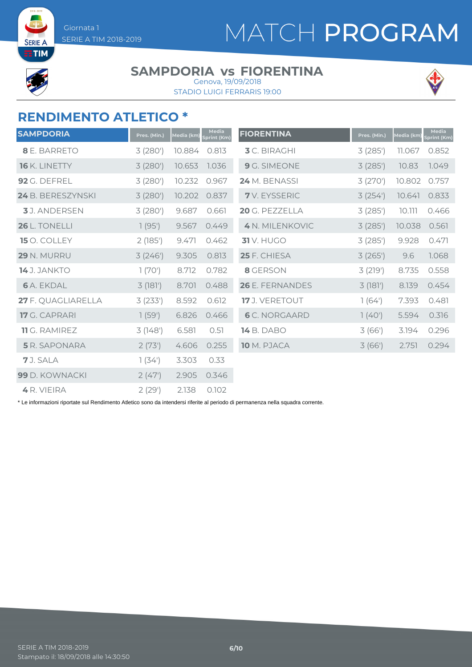# MATCH PROGRAM



**SERIE** 

#### **SAMPDORIA vs FIORENTINA** Genova, 19/09/2018

STADIO LUIGI FERRARIS 19:00



#### **RENDIMENTO ATLETICO \***

| <b>SAMPDORIA</b>     | Pres. (Min.) | Media (km) | Media<br>Sprint (Km) | <b>FIORENTINA</b>    | Pres. (Min.) | Media (km) | <b>Media</b><br>Sprint (Km) |
|----------------------|--------------|------------|----------------------|----------------------|--------------|------------|-----------------------------|
| 8 E. BARRETO         | 3(280)       | 10.884     | 0.813                | <b>3</b> C. BIRAGHI  | 3(285)       | 11.067     | 0.852                       |
| 16 K. LINETTY        | 3(280)       | 10.653     | 1.036                | 9 G. SIMEONE         | 3(285)       | 10.83      | 1.049                       |
| 92 G. DEFREL         | 3(280)       | 10.232     | 0.967                | 24 M. BENASSI        | 3 (270')     | 10.802     | 0.757                       |
| 24 B. BERESZYNSKI    | 3(280)       | 10.202     | 0.837                | <b>7</b> V. EYSSERIC | 3(254)       | 10.641     | 0.833                       |
| <b>3</b> J. ANDERSEN | 3(280)       | 9.687      | 0.661                | 20 G. PEZZELLA       | 3(285)       | 10.111     | 0.466                       |
| 26 L. TONELLI        | 1(95)        | 9.567      | 0.449                | 4 N. MILENKOVIC      | 3(285)       | 10.038     | 0.561                       |
| 15 O. COLLEY         | 2(185)       | 9.471      | 0.462                | <b>31</b> V. HUGO    | 3(285)       | 9.928      | 0.471                       |
| 29 N. MURRU          | 3(246')      | 9.305      | 0.813                | 25 F. CHIESA         | 3(265)       | 9.6        | 1.068                       |
| <b>14</b> J. JANKTO  | 1(70)        | 8.712      | 0.782                | 8 GERSON             | 3(219')      | 8.735      | 0.558                       |
| <b>6</b> A. EKDAL    | 3(181)       | 8.701      | 0.488                | 26 E. FERNANDES      | 3(181)       | 8.139      | 0.454                       |
| 27 F. QUAGLIARELLA   | 3(233)       | 8.592      | 0.612                | 17 J. VERETOUT       | 1(64)        | 7.393      | 0.481                       |
| <b>17</b> G. CAPRARI | 1(59')       | 6.826      | 0.466                | <b>6</b> C. NORGAARD | 1(40)        | 5.594      | 0.316                       |
| <b>11</b> G. RAMIREZ | 3(148)       | 6.581      | 0.51                 | <b>14</b> B. DABO    | 3(66)        | 3.194      | 0.296                       |
| <b>5</b> R. SAPONARA | 2(73)        | 4.606      | 0.255                | 10 M. PJACA          | 3(66)        | 2.751      | 0.294                       |
| 7 J. SALA            | 1(34)        | 3.303      | 0.33                 |                      |              |            |                             |
| 99 D. KOWNACKI       | 2(47)        | 2.905      | 0.346                |                      |              |            |                             |
| 4 R. VIEIRA          | 2(29')       | 2.138      | 0.102                |                      |              |            |                             |

\* Le informazioni riportate sul Rendimento Atletico sono da intendersi riferite al periodo di permanenza nella squadra corrente.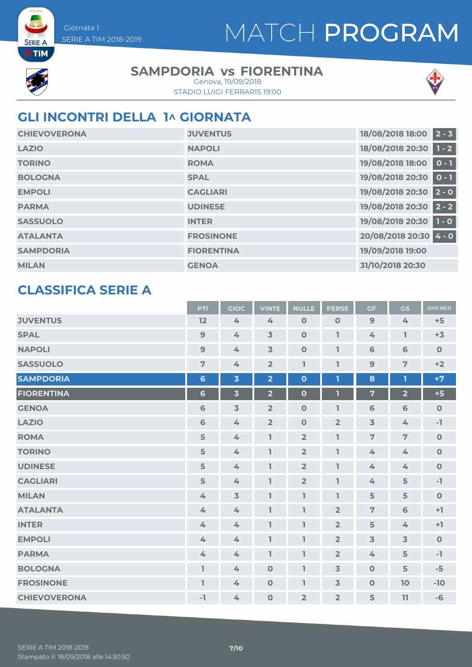



**SERIE A** 

#### **SAMPDORIA vs FIORENTINA**

STADIO LUIGI FERRARIS 19:00 Genova, 19/09/2018



### **GLI INCONTRI DELLA 1^ GIORNATA**

| <b>CHIEVOVERONA</b> | <b>JUVENTUS</b>   | $2 - 3$<br>18/08/2018 18:00 |
|---------------------|-------------------|-----------------------------|
| <b>LAZIO</b>        | <b>NAPOLI</b>     | 18/08/2018 20:30<br>$1 - 2$ |
| <b>TORINO</b>       | <b>ROMA</b>       | 19/08/2018 18:00<br>$0 - 1$ |
| <b>BOLOGNA</b>      | <b>SPAL</b>       | 19/08/2018 20:30<br>$0 - 1$ |
| <b>EMPOLI</b>       | <b>CAGLIARI</b>   | 19/08/2018 20:30<br>$2 - 0$ |
| <b>PARMA</b>        | <b>UDINESE</b>    | 19/08/2018 20:30<br>$2 - 2$ |
| <b>SASSUOLO</b>     | <b>INTER</b>      | 19/08/2018 20:30<br>$1 - 0$ |
| <b>ATALANTA</b>     | <b>FROSINONE</b>  | 20/08/2018 20:30 4 - 0      |
| <b>SAMPDORIA</b>    | <b>FIORENTINA</b> | 19/09/2018 19:00            |
| <b>MILAN</b>        | <b>GENOA</b>      | 31/10/2018 20:30            |

#### **CLASSIFICA SERIE A**

|                     | PTI             | <b>GIOC</b>             | <b>VINTE</b>            | <b>NULLE</b>   | <b>PERSE</b>   | <b>GF</b>      | GS                      | <b>DIFF.RETI</b> |
|---------------------|-----------------|-------------------------|-------------------------|----------------|----------------|----------------|-------------------------|------------------|
| <b>JUVENTUS</b>     | 12              | 4                       | 4                       | $\mathbf 0$    | $\mathbf 0$    | 9              | 4                       | $+5$             |
| <b>SPAL</b>         | $\mathbf{9}$    | $\mathbf{4}$            | $\overline{3}$          | $\mathbf 0$    | ı              | 4              | L                       | $+3$             |
| <b>NAPOLI</b>       | $\overline{9}$  | 4                       | $\overline{3}$          | $\mathbf 0$    | I              | 6              | 6                       | $\mathbf 0$      |
| <b>SASSUOLO</b>     | $\overline{7}$  | 4                       | $\overline{2}$          | I,             | ı              | 9              | 7                       | $+2$             |
| <b>SAMPDORIA</b>    | $6\phantom{1}6$ | $\overline{\mathbf{3}}$ | $\overline{\mathbf{2}}$ | $\mathbf{o}$   | 1              | 8              | ı                       | $+7$             |
| <b>FIORENTINA</b>   | $6\phantom{1}$  | $\overline{\mathbf{3}}$ | $\overline{\mathbf{2}}$ | $\mathbf{o}$   | П              | $\overline{7}$ | $\overline{\mathbf{2}}$ | $+5$             |
| <b>GENOA</b>        | 6               | $\overline{3}$          | $\overline{2}$          | $\mathbf 0$    | ı              | 6              | 6                       | $\mathbf O$      |
| <b>LAZIO</b>        | 6               | 4                       | $\overline{2}$          | $\mathbf 0$    | $\overline{2}$ | $\overline{3}$ | 4                       | $-1$             |
| <b>ROMA</b>         | 5               | 4                       | ı                       | $\overline{2}$ | ı              | $\overline{7}$ | $\overline{7}$          | $\mathbf O$      |
| <b>TORINO</b>       | 5               | 4                       | ı                       | $\overline{2}$ | $\mathbf{I}$   | 4              | $\measuredangle$        | $\mathbf O$      |
| <b>UDINESE</b>      | 5               | 4                       | ı                       | $\overline{2}$ | ı              | 4              | 4                       | $\mathbf 0$      |
| <b>CAGLIARI</b>     | 5               | 4                       | I,                      | $\overline{2}$ | I              | 4              | 5                       | $\mathbf{-1}$    |
| <b>MILAN</b>        | 4               | $\overline{3}$          | ı                       | L              | $\mathbf{I}$   | 5              | 5                       | $\mathbf 0$      |
| <b>ATALANTA</b>     | 4               | 4                       | I,                      | I,             | $\overline{2}$ | $\overline{7}$ | 6                       | $+1$             |
| <b>INTER</b>        | 4               | 4                       | I,                      | L              | $\overline{2}$ | 5              | 4                       | $+1$             |
| <b>EMPOLI</b>       | 4               | 4                       | ı                       | L              | $\overline{2}$ | $\overline{3}$ | $\overline{3}$          | $\mathbf 0$      |
| <b>PARMA</b>        | 4               | 4                       | L                       | ı              | $\overline{2}$ | 4              | 5                       | $-1$             |
| <b>BOLOGNA</b>      | ı               | 4                       | $\Omega$                | ı              | $\overline{3}$ | $\mathbf{O}$   | 5                       | $-5$             |
| <b>FROSINONE</b>    | I.              | 4                       | $\mathbf 0$             | ı              | $\overline{3}$ | $\mathbf 0$    | <b>10</b>               | $-10$            |
| <b>CHIEVOVERONA</b> | $-1$            | 4                       | $\mathbf 0$             | $\overline{2}$ | $\overline{2}$ | 5              | 11                      | $-6$             |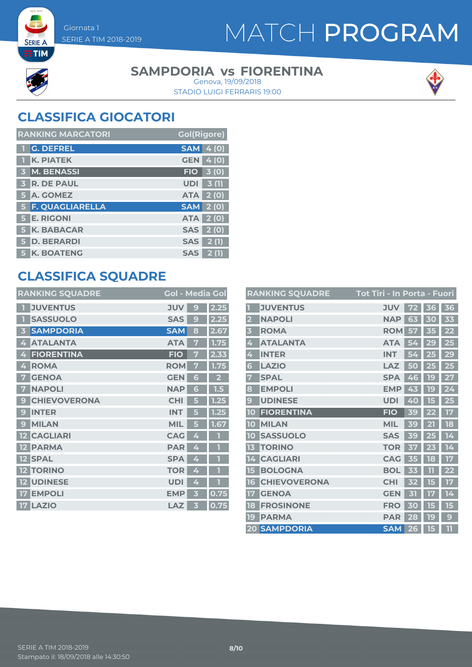### MATCH PROGRAM



**SERIE A** 

#### **SAMPDORIA vs FIORENTINA**

STADIO LUIGI FERRARIS 19:00 Genova, 19/09/2018



### **CLASSIFICA GIOCATORI**

| <b>RANKING MARCATORI</b> | <b>Gol(Rigore)</b> |
|--------------------------|--------------------|
| <b>G. DEFREL</b>         | <b>SAM</b><br>4(0) |
| <b>K. PIATEK</b>         | <b>GEN</b> 4 (0)   |
| 3 M. BENASSI             | 3(0)<br><b>FIO</b> |
| <b>3 R. DE PAUL</b>      | <b>UDI</b><br>3(1) |
| 5 A. GOMEZ               | <b>ATA 2 (0)</b>   |
| 5 F. QUAGLIARELLA        | <b>SAM 2 (0)</b>   |
| <b>5 E. RIGONI</b>       | <b>ATA 2 (0)</b>   |
| <b>5 K. BABACAR</b>      | <b>SAS</b> 2 (0)   |
| 5 D. BERARDI             | SAS  <br>2(1)      |
| <b>5 K. BOATENG</b>      | <b>SAS</b><br>2(1) |

### **CLASSIFICA SQUADRE**

| <b>RANKING SQUADRE</b>   | <b>Gol - Media Gol</b> |              |      |
|--------------------------|------------------------|--------------|------|
| <b>JUVENTUS</b>          | <b>JUV</b>             | 9            | 2.25 |
| <b>SASSUOLO</b>          | <b>SAS</b>             | $\mathbf{C}$ | 2.25 |
| <b>SAMPDORIA</b><br>3    | <b>SAM</b>             | 8            | 2.67 |
| <b>ATALANTA</b><br>4     | <b>ATA</b>             | 7            | 1.75 |
| <b>FIORENTINA</b><br>4   | <b>FIO</b>             |              | 2.33 |
| <b>ROMA</b><br>4         | <b>ROM</b>             | 7            | 1.75 |
| <b>GENOA</b><br>7        | <b>GEN</b>             | 6            |      |
| <b>NAPOLI</b><br>7       | <b>NAP</b>             | G            | 1.5  |
| <b>CHIEVOVERONA</b><br>9 | <b>CHI</b>             | 5            | 1.25 |
| <b>INTER</b><br>9        | <b>INT</b>             |              | 1.25 |
| <b>MILAN</b><br>9        | <b>MIL</b>             |              | 1.67 |
| <b>CAGLIARI</b><br>12    | <b>CAG</b>             | 4            |      |
| <b>PARMA</b><br>12       | <b>PAR</b>             | 4            | П    |
| <b>SPAL</b><br>$12 \,$   | <b>SPA</b>             | 4            |      |
| <b>TORINO</b><br>$12 \,$ | <b>TOR</b>             | 4            |      |
| <b>UDINESE</b>           | <b>UDI</b>             | 4            |      |
| <b>EMPOLI</b>            | <b>EMP</b>             | B            | 0.75 |
| <b>LAZIO</b><br>17       | LAZ                    | В            | 0.75 |
|                          |                        |              |      |

|                         | <b>RANKING SQUADRE</b> | <u> Tot Tiri - In Porta - Fuori</u> |        |    |    |
|-------------------------|------------------------|-------------------------------------|--------|----|----|
|                         | <b>JUVENTUS</b>        | <b>JUV</b>                          | 72     | 36 | 36 |
| $\overline{\mathbf{2}}$ | <b>NAPOLI</b>          | <b>NAP</b>                          | 63     | 30 | 33 |
| 3                       | <b>ROMA</b>            | <b>ROM</b>                          | 57     | 35 | 22 |
| 4                       | <b>ATALANTA</b>        | <b>ATA</b>                          | 54     | 29 | 25 |
| 4                       | <b>INTER</b>           | <b>INT</b>                          | 54     | 25 | 29 |
| 6                       | <b>LAZIO</b>           | LAZ                                 | 50     | 25 | 25 |
| 7                       | <b>SPAL</b>            | <b>SPA</b>                          | 46     | 19 | 27 |
| 8                       | <b>EMPOLI</b>          | <b>EMP</b>                          | 43     | 19 | 24 |
| $\overline{9}$          | <b>UDINESE</b>         | <b>UDI</b>                          | 40     | 5  | 25 |
| 10                      | <b>FIORENTINA</b>      | <b>FIO</b>                          | 39     | 22 | 17 |
| 10                      | <b>MILAN</b>           | <b>MIL</b>                          | 39     | 21 | 18 |
| 10                      | <b>SASSUOLO</b>        | <b>SAS</b>                          | 39     |    | 14 |
| 13                      | <b>TORINO</b>          | <b>TOR</b>                          | 37     | 23 | 14 |
| 14                      | <b>CAGLIARI</b>        | <b>CAG</b>                          | 35     | 18 | 17 |
| 15                      | <b>BOLOGNA</b>         | <b>BOL</b>                          | 33     | 11 | 22 |
| 16                      | <b>CHIEVOVERONA</b>    | <b>CHI</b>                          | 52     | 15 | 17 |
| 17                      | <b>GENOA</b>           | <b>GEN</b>                          | 封      | 17 | 14 |
| 18                      | <b>FROSINONE</b>       | <b>FRO</b>                          | O<br>3 |    | 15 |
| 19                      | <b>PARMA</b>           | <b>PAR</b>                          | 28     | 19 | 9  |
|                         | <b>20 SAMPDORIA</b>    | <b>SAM</b>                          | 26     | 15 | 11 |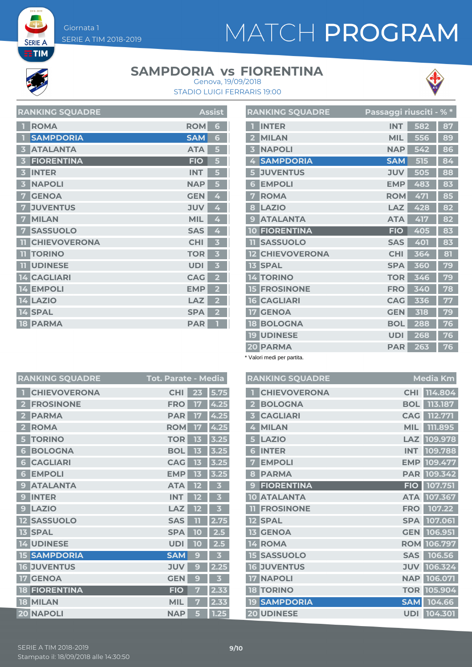# MATCH PROGRAM



**SERIE A ETIM** 

#### **SAMPDORIA vs FIORENTINA**



STADIO LUIGI FERRARIS 19:00 Genova, 19/09/2018

| <b>RANKING SQUADRE</b>     |            | <b>Assist</b>           |
|----------------------------|------------|-------------------------|
| <b>ROMA</b>                | <b>ROM</b> | 6                       |
| <b>SAMPDORIA</b><br>П      | <b>SAM</b> | 6                       |
| <b>ATALANTA</b><br>3       | <b>ATA</b> | 5                       |
| <b>FIORENTINA</b><br>В     | <b>FIO</b> | 5                       |
| <b>INTER</b><br>В          | <b>INT</b> | 5                       |
| <b>NAPOLI</b><br>3         | <b>NAP</b> | 5                       |
| <b>GENOA</b><br>7          | <b>GEN</b> | 4                       |
| <b>JUVENTUS</b><br>7       | <b>JUV</b> | 4                       |
| <b>MILAN</b><br>7          | <b>MIL</b> | 4                       |
| <b>SASSUOLO</b><br>7       | <b>SAS</b> | 4                       |
| <b>CHIEVOVERONA</b><br>-11 | <b>CHI</b> | 3                       |
| <b>TORINO</b><br>m         | <b>TOR</b> | 3                       |
| <b>UDINESE</b><br>m        | <b>UDI</b> | 3                       |
| <b>CAGLIARI</b><br>14      | <b>CAG</b> | $\overline{\mathbf{2}}$ |
| <b>EMPOLI</b><br>14        | <b>EMP</b> | 2                       |
| <b>14 LAZIO</b>            | LAZ        | 2                       |
| 14 SPAL                    | <b>SPA</b> | 2                       |
| <b>18 PARMA</b>            | <b>PAR</b> |                         |

|                         | <b>RANKING SQUADRE</b> | Passaggi riusciti - % * |     |    |
|-------------------------|------------------------|-------------------------|-----|----|
| П                       | <b>INTER</b>           | <b>INT</b>              | 582 | 87 |
| $\overline{2}$          | <b>MILAN</b>           | <b>MIL</b>              | 556 | 89 |
| $\overline{\mathbf{3}}$ | <b>NAPOLI</b>          | <b>NAP</b>              | 542 | 86 |
| 4                       | <b>SAMPDORIA</b>       | <b>SAM</b>              | 515 | 84 |
| 5                       | <b>JUVENTUS</b>        | <b>JUV</b>              | 505 | 88 |
| 6                       | <b>EMPOLI</b>          | <b>EMP</b>              | 483 | 83 |
| 7                       | <b>ROMA</b>            | <b>ROM</b>              | 471 | 85 |
| 8                       | <b>LAZIO</b>           | LAZ                     | 428 | 82 |
| 9                       | <b>ATALANTA</b>        | <b>ATA</b>              | 417 | 82 |
| 10                      | <b>FIORENTINA</b>      | <b>FIO</b>              | 405 | 83 |
| 11                      | <b>SASSUOLO</b>        | <b>SAS</b>              | 401 | 83 |
| 12 <sup>2</sup>         | <b>CHIEVOVERONA</b>    | <b>CHI</b>              | 364 | 81 |
| 13 <sub>1</sub>         | <b>SPAL</b>            | <b>SPA</b>              | 360 | 79 |
|                         | <b>14 TORINO</b>       | <b>TOR</b>              | 346 | 79 |
|                         | <b>15 FROSINONE</b>    | <b>FRO</b>              | 340 | 78 |
| 16                      | <b>CAGLIARI</b>        | <b>CAG</b>              | 336 | 77 |
| 17                      | <b>GENOA</b>           | <b>GEN</b>              | 318 | 79 |
|                         | <b>18 BOLOGNA</b>      | <b>BOL</b>              | 288 | 76 |
| 19                      | <b>UDINESE</b>         | <b>UDI</b>              | 268 | 76 |
|                         | 20 PARMA               | <b>PAR</b>              | 263 | 76 |

\* Valori medi per partita.

| <b>RANKING SQUADRE</b>                 | <b>Tot. Parate - Media</b> |        | <b>RANKING SQUADRE</b> |
|----------------------------------------|----------------------------|--------|------------------------|
| <b>CHIEVOVERONA</b>                    | <b>CHI</b><br>23           | 5.75   | <b>CHIEVOVERONA</b>    |
| <b>FROSINONE</b><br>2                  | <b>FRO</b><br>17           | 4.25   | <b>BOLOGNA</b>         |
| <b>PARMA</b>                           | <b>PAR</b><br>17           | 4.25   | <b>CAGLIARI</b>        |
| <b>ROMA</b><br>$\overline{\mathbf{2}}$ | <b>ROM</b><br>17           | 4.25   | <b>MILAN</b><br>4      |
| <b>TORINO</b><br>5                     | <b>TOR</b><br>13           | $3.25$ | LAZIO<br>5.            |
| <b>BOLOGNA</b><br>6                    | <b>BOL</b><br>13           | 3.25   | <b>INTER</b><br>6      |
| <b>CAGLIARI</b><br>6                   | <b>CAG</b><br>13           | 3.25   | <b>EMPOLI</b>          |
| <b>EMPOLI</b><br>6                     | <b>EMP</b><br>13           | 3.25   | <b>PARMA</b><br>8      |
| <b>ATALANTA</b><br>g                   | <b>ATA</b><br>12           | В      | <b>FIORENTINA</b>      |
| <b>INTER</b>                           | <b>INT</b><br>12           | В      | <b>10 ATALANTA</b>     |
| <b>LAZIO</b><br>9                      | <b>LAZ</b><br>12           | 3      | <b>FROSINONE</b>       |
| <b>SASSUOLO</b><br>$12 \overline{ }$   | <b>SAS</b><br>TI           | 2.75   | <b>12 SPAL</b>         |
| <b>SPAL</b><br>13                      | <b>SPA</b><br>10           | 2.5    | <b>13 GENOA</b>        |
| <b>14 UDINESE</b>                      | <b>UDI</b><br>10           | 2.5    | 14 ROMA                |
| <b>15 SAMPDORIA</b>                    | <b>SAM</b>                 | 3      | <b>15 SASSUOLO</b>     |
| <b>16 JUVENTUS</b>                     | <b>JUV</b><br>9            | 2.25   | <b>16 JUVENTUS</b>     |
| <b>GENOA</b><br>17                     | <b>GEN</b><br>g            | 3      | <b>17 NAPOLI</b>       |
| <b>FIORENTINA</b><br>18                | <b>FIO</b>                 | 2.33   | <b>18 TORINO</b>       |
| <b>18 MILAN</b>                        | <b>MIL</b>                 | 2.33   | <b>19 SAMPDORIA</b>    |
| <b>20 NAPOLI</b>                       | <b>NAP</b><br>5            | 1.25   | 20 UDINESE             |

**Media Km CHIEVOVERONA CHI 114.804 113.187 CAGLIARI CAG 112.771 MIL 111.895 LAZIO LAZ 109.978 INTER INT 109.788 EMPOLI EMP 109.477 PARMA PAR 109.342 FIORENTINA FIO 107.751 ATALANTA ATA 107.367 FROSINONE FRO 107.22 SPAL SPA 107.061 GENOA GEN 106.951 ROMA ROM 106.797**  $SAS$  **106.56 JUVENTUS JUV 106.324 NAPOLI NAP 106.071 TORINO TOR 105.904 SAMPDORIA SAM 104.66**

**UDINESE UDI 104.301**